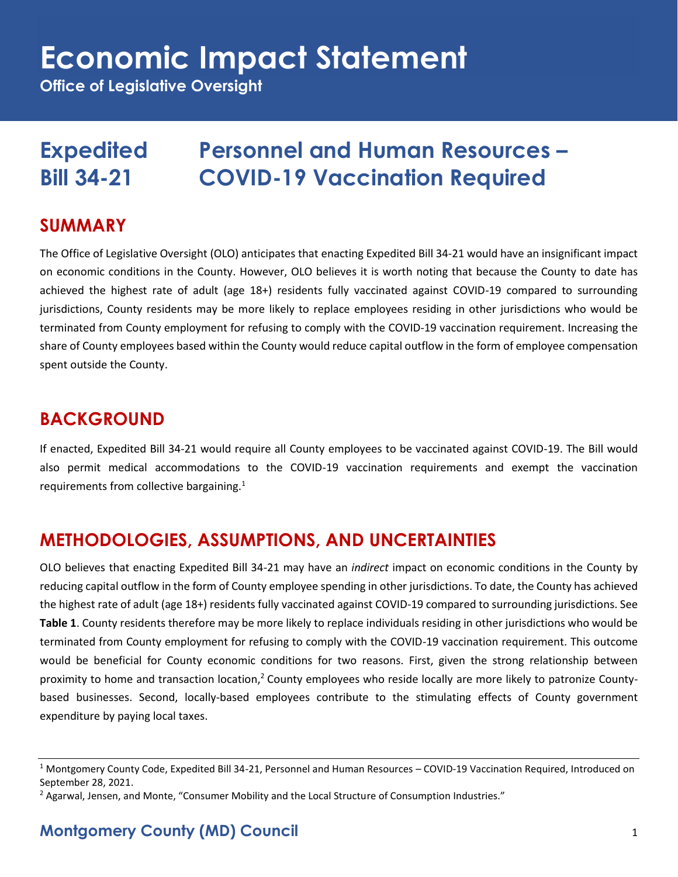# **Economic Impact Statement**

**Office of Legislative Oversight**

# **Expedited Personnel and Human Resources – Bill 34-21 COVID-19 Vaccination Required**

#### **SUMMARY**

The Office of Legislative Oversight (OLO) anticipates that enacting Expedited Bill 34-21 would have an insignificant impact on economic conditions in the County. However, OLO believes it is worth noting that because the County to date has achieved the highest rate of adult (age 18+) residents fully vaccinated against COVID-19 compared to surrounding jurisdictions, County residents may be more likely to replace employees residing in other jurisdictions who would be terminated from County employment for refusing to comply with the COVID-19 vaccination requirement. Increasing the share of County employees based within the County would reduce capital outflow in the form of employee compensation spent outside the County.

### **BACKGROUND**

If enacted, Expedited Bill 34-21 would require all County employees to be vaccinated against COVID-19. The Bill would also permit medical accommodations to the COVID-19 vaccination requirements and exempt the vaccination requirements from collective bargaining.<sup>1</sup>

# **METHODOLOGIES, ASSUMPTIONS, AND UNCERTAINTIES**

OLO believes that enacting Expedited Bill 34-21 may have an *indirect* impact on economic conditions in the County by reducing capital outflow in the form of County employee spending in other jurisdictions. To date, the County has achieved the highest rate of adult (age 18+) residents fully vaccinated against COVID-19 compared to surrounding jurisdictions. See **Table 1**. County residents therefore may be more likely to replace individuals residing in other jurisdictions who would be terminated from County employment for refusing to comply with the COVID-19 vaccination requirement. This outcome would be beneficial for County economic conditions for two reasons. First, given the strong relationship between proximity to home and transaction location,<sup>2</sup> County employees who reside locally are more likely to patronize Countybased businesses. Second, locally-based employees contribute to the stimulating effects of County government expenditure by paying local taxes.

<sup>&</sup>lt;sup>1</sup> Montgomery County Code, Expedited Bill 34-21, Personnel and Human Resources – COVID-19 Vaccination Required, Introduced on September 28, 2021.

<sup>&</sup>lt;sup>2</sup> Agarwal, Jensen, and Monte, "Consumer Mobility and the Local Structure of Consumption Industries."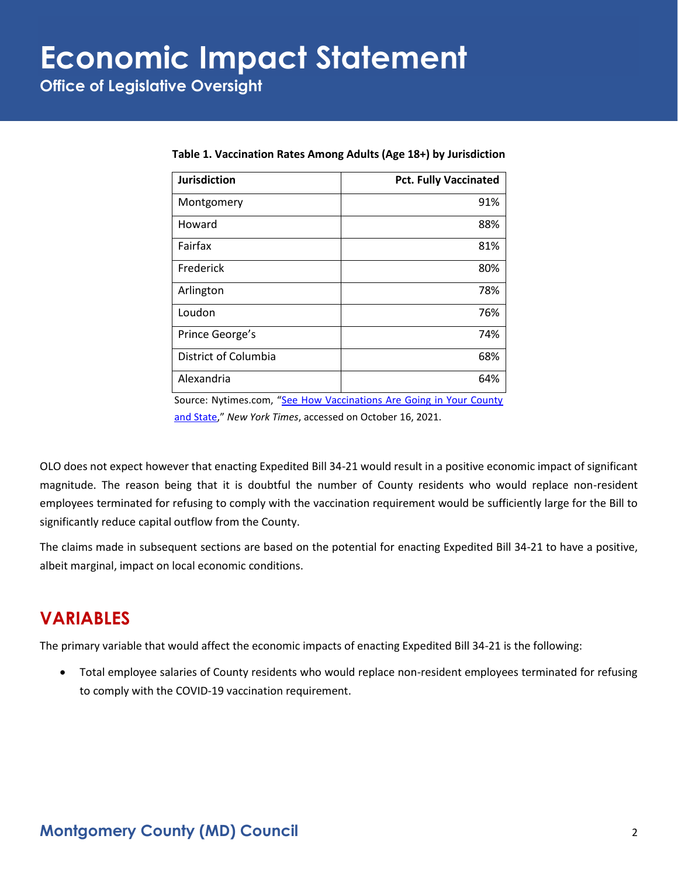# **Economic Impact Statement**

**Office of Legislative Oversight**

| Jurisdiction         | <b>Pct. Fully Vaccinated</b> |
|----------------------|------------------------------|
| Montgomery           | 91%                          |
| Howard               | 88%                          |
| Fairfax              | 81%                          |
| Frederick            | 80%                          |
| Arlington            | 78%                          |
| Loudon               | 76%                          |
| Prince George's      | 74%                          |
| District of Columbia | 68%                          |
| Alexandria           | 64%                          |

**Table 1. Vaccination Rates Among Adults (Age 18+) by Jurisdiction**

Source: Nytimes.com, "[See How Vaccinations Are Going in Your County](https://www.nytimes.com/interactive/2020/us/covid-19-vaccine-doses.html)  [and State](https://www.nytimes.com/interactive/2020/us/covid-19-vaccine-doses.html)," *New York Times*, accessed on October 16, 2021.

OLO does not expect however that enacting Expedited Bill 34-21 would result in a positive economic impact of significant magnitude. The reason being that it is doubtful the number of County residents who would replace non-resident employees terminated for refusing to comply with the vaccination requirement would be sufficiently large for the Bill to significantly reduce capital outflow from the County.

The claims made in subsequent sections are based on the potential for enacting Expedited Bill 34-21 to have a positive, albeit marginal, impact on local economic conditions.

#### **VARIABLES**

The primary variable that would affect the economic impacts of enacting Expedited Bill 34-21 is the following:

• Total employee salaries of County residents who would replace non-resident employees terminated for refusing to comply with the COVID-19 vaccination requirement.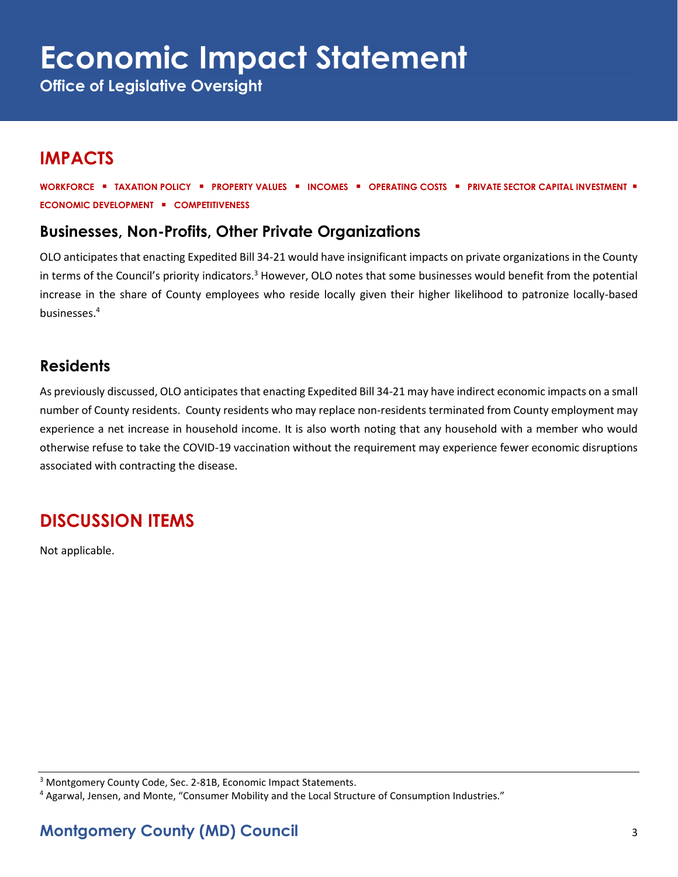**Office of Legislative Oversight**

# **IMPACTS**

**WORKFORCE** ▪ **TAXATION POLICY** ▪ **PROPERTY VALUES** ▪ **INCOMES** ▪ **OPERATING COSTS** ▪ **PRIVATE SECTOR CAPITAL INVESTMENT** ▪ **ECONOMIC DEVELOPMENT** ▪ **COMPETITIVENESS**

#### **Businesses, Non-Profits, Other Private Organizations**

OLO anticipates that enacting Expedited Bill 34-21 would have insignificant impacts on private organizations in the County in terms of the Council's priority indicators.<sup>3</sup> However, OLO notes that some businesses would benefit from the potential increase in the share of County employees who reside locally given their higher likelihood to patronize locally-based businesses.<sup>4</sup>

#### **Residents**

As previously discussed, OLO anticipates that enacting Expedited Bill 34-21 may have indirect economic impacts on a small number of County residents. County residents who may replace non-residents terminated from County employment may experience a net increase in household income. It is also worth noting that any household with a member who would otherwise refuse to take the COVID-19 vaccination without the requirement may experience fewer economic disruptions associated with contracting the disease.

# **DISCUSSION ITEMS**

Not applicable.

<sup>&</sup>lt;sup>3</sup> Montgomery County Code, Sec. 2-81B, Economic Impact Statements.

<sup>4</sup> Agarwal, Jensen, and Monte, "Consumer Mobility and the Local Structure of Consumption Industries."